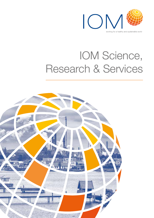

# IOM Science, Research & Services

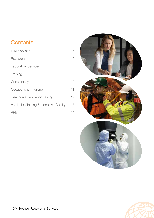# **Contents**

| <b>IOM Services</b>                      | 5  |
|------------------------------------------|----|
| Research                                 | 6  |
| <b>Laboratory Services</b>               | 7  |
| Training                                 | 9  |
| Consultancy                              | 10 |
| Occupational Hygiene                     | 11 |
| <b>Healthcare Ventilation Testing</b>    | 12 |
| Ventilation Testing & Indoor Air Quality | 13 |
| <b>PPE</b>                               | 14 |



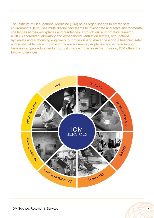The Institute of Occupational Medicine (IOM) helps organisations to create safe environments. IOM uses multi-disciplinary teams to investigate and solve environmental challenges across workplaces and residences. Through our authoritative research, a UKAS accredited laboratory and experienced ventilation testers, occupational hygienists and authorising engineers, our mission is to make the world a healthier, safer and sustainable place. Improving the environments people live and work in through behavioural, procedural and structural change. To achieve that mission, IOM offers the following services:





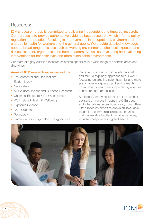### Research:

IOM's research group is committed to delivering independent and impartial research. Our purpose is to provide authoritative evidence based research, which informs policy, regulation and practice. Resulting in improvements in occupational, environmental and public health for workers and the general public. We provide detailed knowledge about a broad range of issues such as working environments, chemical exposure and risk assessment, ergonomics and human factors. As well as developing and evaluating interventions for healthier lives and more sustainable environments.

Our team of highly qualified research scientists specialise in a wide range of scientific areas and disciplines.

### **Areas of IOM research expertise include:**

- Environmental and Occupational Epidemiology
- Nanosafety
- Air Pollution (Indoor and Outdoor) Research
- Chemical Exposure & Risk Assessment
- Work related Health & Wellbeing
- Exposure Science
- Data Science
- Toxicology
- Human factors, Psychology & Ergonomics.

Our scientists bring a unique international and multi-disciplinary approach to our work, focussing on creating safer, healthier and more sustainable workplaces and environments. Environments which are supported by effective behaviours and processes.

Additionally, many senior staff act as scientific advisors on various influential UK, European and International scientific advisory committees. IOM's research expertise allows an invaluable insight into commercial projects, ensuring that we are able to offer innovative services, including bespoke testing and advice.



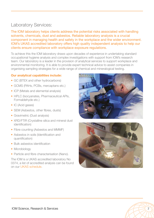# Laboratory Services:

The IOM laboratory helps clients address the potential risks associated with handling solvents, chemicals, dust and asbestos. Reliable laboratory analysis is a crucial component in managing health and safety in the workplace and the wider environment. IOM's UKAS accredited laboratory offers high quality independent analysis to help our clients ensure compliance with workplace exposure regulations.

To achieve this the IOM laboratory draws upon decades of experience in undertaking standard occupational hygiene analysis and complex investigations with support from IOM's research team. Our laboratory is a leader in the provision of analytical services to support workplace and environmental monitoring. It is able to provide expert technical advice to assist companies in organising sampling strategies for a wide range of chemical and mineralogical testing.

### **Our analytical capabilities include:**

- GC (BTEX and other hydrocarbons)
- GCMS (PAHs, PCBs, mercaptans etc.)
- ICP (Metals and elemental analysis)
- HPLC (Isocyanates, Pharmaceutical APIs, Formaldehyde etc.)
- IC (Acid gases)
- SEM (Asbestos, other fibres, dusts)
- Gravimetric (Dust analysis)
- XRD/FTIR (Crystalline silica and mineral dust identification)
- Fibre counting (Asbestos and MMMF)
- Asbestos in soils (Identification and quantification)
- Bulk asbestos identification
- Microbiology
- Particle and fibre characterisation (Nano).

The IOM is a UKAS accredited laboratory No 0374, a list of accredited analysis can be found on our UKAS schedule.





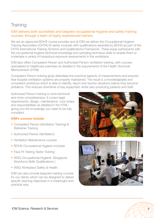## Training:

### IOM delivers both accredited and bespoke occupational hygiene and safety training courses, through a team of highly experienced trainers.

We are an approved BOHS course provider and at IOM we deliver the Occupational Hygiene Training Association (OHTA) W series modules with qualifications awarded by BOHS as part of the OHTA International Training Scheme and Qualifications Framework. These equip participants with the occupational hygiene technical knowledge and sampling technique skills to enable them to undertake a variety of hazardous exposure assessments in the workplace.

IOM also offers Competent Person and Authorised Person ventilation training, with courses specialised to Healthcare premises as detailed in the requirements of the Health Technical Memorandum (HTM).

Competent Person training gives attendees the practical aspects of measurements and ensures that hospital ventilation systems are properly maintained. The result is a knowledgeable and competent workforce which is able to identify, report and resolve situations before they become problems. This reduces downtime of key equipment whilst also protecting patients and staff.

Authorised Person training is more technical and more comprehensive. It covers legal requirements, design, maintenance, core duties and responsibilities as detailed in the HTM – giving you the knowledge you need to be fully compliant.

### **IOM's courses include:**

- Competent Person (Ventilation Training) & Refresher Training
- Authorised Person (Ventilation)
- Ventilation Maintenance courses
- BOHS Occupational Hygiene modules
- Face Fit Testing Tester Training
- WSQ Occupational Hygiene (Singapore Workforce Skills Qualifications )
- WSQ Workplace Safety & Health.

IOM can also provide bespoke training courses for our clients which can be designed to deliver specific learning objectives in a meaningful and practical way.



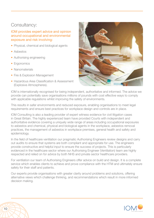# Consultancy:

### IOM provides expert advice and opinion around occupational and environmental exposure and risk involving:

- Physical, chemical and biological agents
- Asbestos
- Authorising engineering
- Ergonomics
- Nanomaterials
- Fire & Explosion Management
- Hazardous Area Classification & Assessment (Explosive Atmospheres).



IOM is internationally recognised for being independent, authoritative and informed. The advice we provide can potentially save organisations millions of pounds with cost effective ways to comply with applicable regulations whilst improving the safety of environments.

This results in safer environments and reduced exposure, enabling organisations to meet legal requirements and ensure best practices for workplace design and controls are in place.

IOM Consulting is also a leading provider of expert witness evidence for civil litigation cases in Great Britain. The highly experienced team have provided Courts with independent and authoritative evidence covering a uniquely wide range of areas including occupational exposures to asbestos and chemical, physical and biological agents in the workplace, asbestos removal practices, the management of asbestos in workplace premises, general health and safety and epidemiology.

In the field of healthcare ventilation our pragmatic Authorising Engineers review designs and carry out audits to ensure that systems are both compliant and appropriate for use. The engineers provide constructive and helpful input to ensure the success of projects. This is particularly evidenced in the healthcare sector where our Authorising Engineer (Ventilation) team are highly respected and relied on for advice by both NHS and private sector healthcare providers.

For ventilation our team of Authorising Engineers offer advice on build and design. It is a complete service which enables clients to achieve and prove compliance with the HTM and ultimately ensure safety for their staff and patients.

Our experts provide organisations with greater clarity around problems and solutions, offering alternative views which challenge thinking, and recommendations which result in more informed decision making.

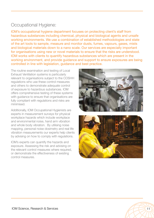# Occupational Hygiene:

IOM's occupational hygiene department focuses on protecting client's staff from hazardous substances including chemical, physical and biological agents and unsafe working environments. We use a combination of established methodologies and state of the art tools to sample, measure and monitor dusts, fumes, vapours, gases, mists and biological materials down to a nano scale. Our services are especially important for organisations using new or novel materials to ensure that the risks are understood. IOM works with clients to quantify hazardous substances which are present in the working environment, and provide guidance and support to ensure exposures are being controlled in line with legislation, guidance and best practice.

The routine examination and testing of Local Exhaust Ventilation systems is particularly relevant to organisations subject to the COSHH regulations who use these control measures and others to demonstrate adequate control of exposure to hazardous substances. IOM offers comprehensive testing of these systems with guidance to ensure that organisations are fully compliant with regulations and risks are minimised.

Additionally, IOM Occupational Hygienists are experts in measurement surveys for physical workplace hazards which include workplace and environmental noise, hand arm vibration and whole body vibration. By utilising noise mapping, personal noise dosimetry and real life vibration measurements our experts help clients by advising on how to comply with regulations.

IOM's experts can quantify the hazards and exposure. Assessing the risk and advising on the relevant control measures where required, or demonstrate the effectiveness of existing control measures.





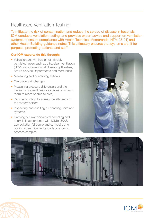# Healthcare Ventilation Testing:

To mitigate the risk of contamination and reduce the spread of disease in hospitals, IOM conducts ventilation testing, and provides expert advice and support on ventilation systems to ensure compliance with Health Technical Memoranda (HTM 03-01) and other Health Building guidance notes. This ultimately ensures that systems are fit for purpose, protecting patients and staff.

### **Our IOM experts do this through;**

- Validation and verification of critically ventilated areas such as ultra clean ventilation (UCV) and Conventional Operating Theatres, Sterile Service Departments and Mortuaries
- Measuring and quantifying airflows
- Calculating air changes
- Measuring pressure differentials and the hierarchy of cleanliness (cascades of air from room to room or area to area)
- Particle counting to assess the efficiency of the system's filters
- Inspecting and auditing air handling units and systems
- Carrying out microbiological sampling and analysis in accordance with IOM's UKAS accreditation (airborne and surface) using our in-house microbiological laboratory to process samples.





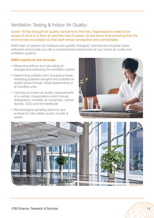# Ventilation Testing & Indoor Air Quality:

Covid-19 has brought air quality concerns to the fore. Organisations need to be aware of what is in their air and the risks it poses. At the same time ensuring that the environment is suitable so that staff remain productive and comfortable.

IOM's team of experts can measure and quantify biological, chemical and physical indoor pollutants and provide you with a comprehensive assessment of your indoor air quality and ventilation systems.

### **IOM's experts do this through;**

- Measuring airflows and calculating air changes and evaluating the ventilation system
- Determining suitable room occupancy levels, identifying potential draughts and possible air quality issues through visual assessments of air handling units
- Carrying out indoor air quality measurements of a number of parameters which include temperature, humidity, air movement, carbon dioxide, VOCs and formaldehyde
- Microbiological sampling (airborne and surface) for total viable counts, moulds & yeasts.



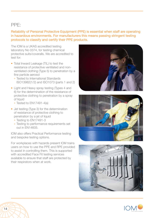### PPE:

Reliability of Personal Protective Equipment (PPE) is essential when staff are operating in hazardous environments. For manufacturers this means passing stringent testing protocols to classify and certify their PPE products.

The IOM is a UKAS accredited testing laboratory No 0374, for testing chemical protective suits/coveralls. We are accredited to test for:

- Total Inward Leakage (TIL) to test the resistance of protective ventilated and nonventilated clothing (Type 5) to penetration by a fine particle aerosol
	- ° Tested to International Standards ISO13982(1/2) and ISO1073 (parts 1 and 2)
- Light and Heavy spray testing (Types 4 and 6) for the determination of the resistance of protective clothing to penetration by a spray of liquid
	- ° Tested to EN17491-4(a)
- Jet testing (Type 3) for the determination of resistance of protective clothing to penetration by a jet of liquid
	- ° Testing to EN17491-3
	- ° Testing to performance requirements set out in EN14605.

IOM also offers Practical Performance testing and bespoke testing options.

For workplaces with hazards present IOM trains users on how to use the PPE and RPE provided to assist in controlling them. This is supported with accredited Face Fit testing services available to ensure that staff are protected by their respirators when at work.